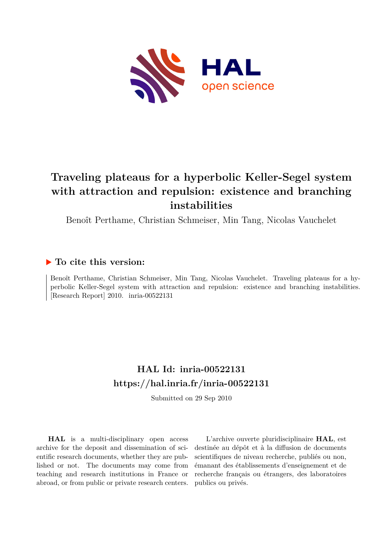

# **Traveling plateaus for a hyperbolic Keller-Segel system with attraction and repulsion: existence and branching instabilities**

Benoît Perthame, Christian Schmeiser, Min Tang, Nicolas Vauchelet

## **To cite this version:**

Benoît Perthame, Christian Schmeiser, Min Tang, Nicolas Vauchelet. Traveling plateaus for a hyperbolic Keller-Segel system with attraction and repulsion: existence and branching instabilities. [Research Report]  $2010.$  inria- $00522131$ 

# **HAL Id: inria-00522131 <https://hal.inria.fr/inria-00522131>**

Submitted on 29 Sep 2010

**HAL** is a multi-disciplinary open access archive for the deposit and dissemination of scientific research documents, whether they are published or not. The documents may come from teaching and research institutions in France or abroad, or from public or private research centers.

L'archive ouverte pluridisciplinaire **HAL**, est destinée au dépôt et à la diffusion de documents scientifiques de niveau recherche, publiés ou non, émanant des établissements d'enseignement et de recherche français ou étrangers, des laboratoires publics ou privés.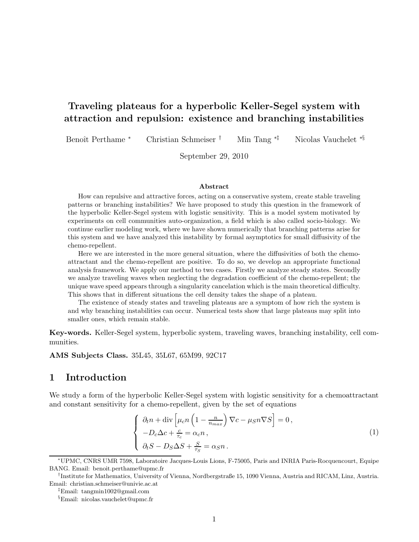## Traveling plateaus for a hyperbolic Keller-Segel system with attraction and repulsion: existence and branching instabilities

Benoˆıt Perthame <sup>∗</sup> Christian Schmeiser † Min Tang ∗‡ Nicolas Vauchelet ∗§

September 29, 2010

#### Abstract

How can repulsive and attractive forces, acting on a conservative system, create stable traveling patterns or branching instabilities? We have proposed to study this question in the framework of the hyperbolic Keller-Segel system with logistic sensitivity. This is a model system motivated by experiments on cell communities auto-organization, a field which is also called socio-biology. We continue earlier modeling work, where we have shown numerically that branching patterns arise for this system and we have analyzed this instability by formal asymptotics for small diffusivity of the chemo-repellent.

Here we are interested in the more general situation, where the diffusivities of both the chemoattractant and the chemo-repellent are positive. To do so, we develop an appropriate functional analysis framework. We apply our method to two cases. Firstly we analyze steady states. Secondly we analyze traveling waves when neglecting the degradation coefficient of the chemo-repellent; the unique wave speed appears through a singularity cancelation which is the main theoretical difficulty. This shows that in different situations the cell density takes the shape of a plateau.

The existence of steady states and traveling plateaus are a symptom of how rich the system is and why branching instabilities can occur. Numerical tests show that large plateaus may split into smaller ones, which remain stable.

Key-words. Keller-Segel system, hyperbolic system, traveling waves, branching instability, cell communities.

AMS Subjects Class. 35L45, 35L67, 65M99, 92C17

## 1 Introduction

We study a form of the hyperbolic Keller-Segel system with logistic sensitivity for a chemoattractant and constant sensitivity for a chemo-repellent, given by the set of equations

<span id="page-1-0"></span>
$$
\begin{cases}\n\partial_t n + \operatorname{div}\left[\mu_c n \left(1 - \frac{n}{n_{max}}\right) \nabla c - \mu_S n \nabla S\right] = 0, \\
-D_c \Delta c + \frac{c}{\tau_c} = \alpha_c n, \\
\partial_t S - D_S \Delta S + \frac{S}{\tau_S} = \alpha_S n.\n\end{cases}
$$
\n(1)

<sup>∗</sup>UPMC, CNRS UMR 7598, Laboratoire Jacques-Louis Lions, F-75005, Paris and INRIA Paris-Rocquencourt, Equipe BANG. Email: benoit.perthame@upmc.fr

<sup>†</sup> Institute for Mathematics, University of Vienna, Nordbergstraße 15, 1090 Vienna, Austria and RICAM, Linz, Austria. Email: christian.schmeiser@univie.ac.at

<sup>‡</sup>Email: tangmin1002@gmail.com

<sup>§</sup>Email: nicolas.vauchelet@upmc.fr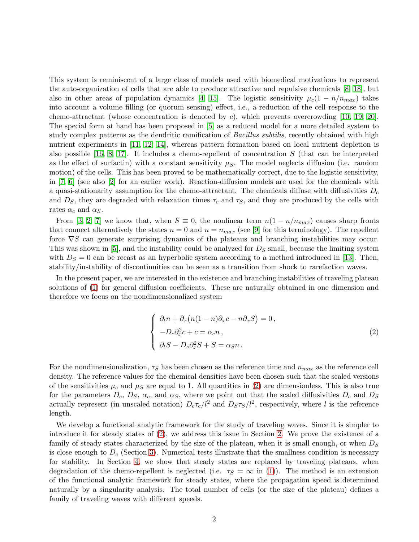This system is reminiscent of a large class of models used with biomedical motivations to represent the auto-organization of cells that are able to produce attractive and repulsive chemicals [\[8,](#page-19-0) [18\]](#page-20-0), but also in other areas of population dynamics [\[4,](#page-19-1) [15\]](#page-20-1). The logistic sensitivity  $\mu_c(1 - n/n_{max})$  takes into account a volume filling (or quorum sensing) effect, i.e., a reduction of the cell response to the chemo-attractant (whose concentration is denoted by c), which prevents overcrowding [\[10,](#page-20-2) [19,](#page-20-3) [20\]](#page-20-4). The special form at hand has been proposed in [\[5\]](#page-19-2) as a reduced model for a more detailed system to study complex patterns as the dendritic ramification of *Bacillus subtilis*, recently obtained with high nutrient experiments in [\[11,](#page-20-5) [12,](#page-20-6) [14\]](#page-20-7), whereas pattern formation based on local nutrient depletion is also possible  $[16, 8, 17]$  $[16, 8, 17]$  $[16, 8, 17]$ . It includes a chemo-repellent of concentration S (that can be interpreted as the effect of surfactin) with a constant sensitivity  $\mu_S$ . The model neglects diffusion (i.e. random motion) of the cells. This has been proved to be mathematically correct, due to the logistic sensitivity, in [\[7,](#page-19-3) [6\]](#page-19-4) (see also [\[2\]](#page-19-5) for an earlier work). Reaction-diffusion models are used for the chemicals with a quasi-stationarity assumption for the chemo-attractant. The chemicals diffuse with diffusivities  $D_c$ and  $D<sub>S</sub>$ , they are degraded with relaxation times  $\tau<sub>c</sub>$  and  $\tau<sub>S</sub>$ , and they are produced by the cells with rates  $\alpha_c$  and  $\alpha_S$ .

From [\[3,](#page-19-6) [2,](#page-19-5) [7\]](#page-19-3) we know that, when  $S \equiv 0$ , the nonlinear term  $n(1 - n/n_{max})$  causes sharp fronts that connect alternatively the states  $n = 0$  and  $n = n_{max}$  (see [\[9\]](#page-19-7) for this terminology). The repellent force  $\nabla S$  can generate surprising dynamics of the plateaus and branching instabilities may occur. This was shown in [\[5\]](#page-19-2), and the instability could be analyzed for  $D<sub>S</sub>$  small, because the limiting system with  $D<sub>S</sub> = 0$  can be recast as an hyperbolic system according to a method introduced in [\[13\]](#page-20-10). Then, stability/instability of discontinuities can be seen as a transition from shock to rarefaction waves.

In the present paper, we are interested in the existence and branching instabilities of traveling plateau solutions of [\(1\)](#page-1-0) for general diffusion coefficients. These are naturally obtained in one dimension and therefore we focus on the nondimensionalized system

<span id="page-2-0"></span>
$$
\begin{cases}\n\partial_t n + \partial_x (n(1-n)\partial_x c - n\partial_x S) = 0, \\
-D_c \partial_x^2 c + c = \alpha_c n, \\
\partial_t S - D_s \partial_x^2 S + S = \alpha_S n.\n\end{cases}
$$
\n(2)

For the nondimensionalization,  $\tau_S$  has been chosen as the reference time and  $n_{max}$  as the reference cell density. The reference values for the chemical densities have been chosen such that the scaled versions of the sensitivities  $\mu_c$  and  $\mu_S$  are equal to 1. All quantities in [\(2\)](#page-2-0) are dimensionless. This is also true for the parameters  $D_c$ ,  $D_S$ ,  $\alpha_c$ , and  $\alpha_S$ , where we point out that the scaled diffusivities  $D_c$  and  $D_S$ actually represent (in unscaled notation)  $D_c \tau_c/l^2$  and  $D_S \tau_S/l^2$ , respectively, where l is the reference length.

We develop a functional analytic framework for the study of traveling waves. Since it is simpler to introduce it for steady states of [\(2\)](#page-2-0), we address this issue in Section [2.](#page-3-0) We prove the existence of a family of steady states characterized by the size of the plateau, when it is small enough, or when  $D<sub>S</sub>$ is close enough to  $D_c$  (Section [3\)](#page-7-0). Numerical tests illustrate that the smallness condition is necessary for stability. In Section [4,](#page-10-0) we show that steady states are replaced by traveling plateaus, when degradation of the chemo-repellent is neglected (i.e.  $\tau_s = \infty$  in [\(1\)](#page-1-0)). The method is an extension of the functional analytic framework for steady states, where the propagation speed is determined naturally by a singularity analysis. The total number of cells (or the size of the plateau) defines a family of traveling waves with different speeds.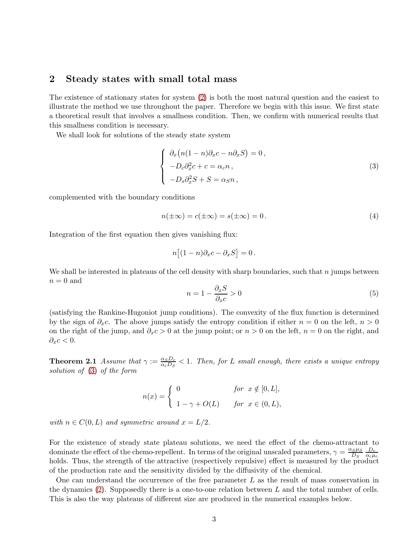## <span id="page-3-0"></span>2 Steady states with small total mass

The existence of stationary states for system [\(2\)](#page-2-0) is both the most natural question and the easiest to illustrate the method we use throughout the paper. Therefore we begin with this issue. We first state a theoretical result that involves a smallness condition. Then, we confirm with numerical results that this smallness condition is necessary.

We shall look for solutions of the steady state system

<span id="page-3-1"></span>
$$
\begin{cases}\n\partial_x \big(n(1-n)\partial_x c - n\partial_x S\big) = 0, \\
-D_c \partial_x^2 c + c = \alpha_c n, \\
-D_s \partial_x^2 S + S = \alpha_S n,\n\end{cases}
$$
\n(3)

complemented with the boundary conditions

<span id="page-3-4"></span>
$$
n(\pm \infty) = c(\pm \infty) = s(\pm \infty) = 0.
$$
\n(4)

Integration of the first equation then gives vanishing flux:

$$
n[(1-n)\partial_x c - \partial_x S] = 0.
$$

We shall be interested in plateaus of the cell density with sharp boundaries, such that  $n$  jumps between  $n = 0$  and

<span id="page-3-3"></span>
$$
n = 1 - \frac{\partial_x S}{\partial_x c} > 0 \tag{5}
$$

(satisfying the Rankine-Hugoniot jump conditions). The convexity of the flux function is determined by the sign of  $\partial_x c$ . The above jumps satisfy the entropy condition if either  $n = 0$  on the left,  $n > 0$ on the right of the jump, and  $\partial_x c > 0$  at the jump point; or  $n > 0$  on the left,  $n = 0$  on the right, and  $\partial_x c < 0.$ 

<span id="page-3-2"></span>**Theorem 2.1** *Assume that*  $\gamma := \frac{\alpha_S D_c}{\alpha_S D_S}$  $\frac{\alpha_S D_c}{\alpha_c D_S} < 1$ . Then, for L small enough, there exists a unique entropy *solution of* [\(3\)](#page-3-1) *of the form*

$$
n(x) = \begin{cases} 0 & \text{for } x \notin [0, L], \\ 1 - \gamma + O(L) & \text{for } x \in (0, L), \end{cases}
$$

*with*  $n \in C(0,L)$  *and symmetric around*  $x = L/2$ *.* 

For the existence of steady state plateau solutions, we need the effect of the chemo-attractant to dominate the effect of the chemo-repellent. In terms of the original unscaled parameters,  $\gamma = \frac{\alpha_S \mu_S}{D_c}$  $D_{S}$  $D_c$  $\alpha_c \mu_c$ holds. Thus, the strength of the attractive (respectively repulsive) effect is measured by the product of the production rate and the sensitivity divided by the diffusivity of the chemical.

One can understand the occurrence of the free parameter  $L$  as the result of mass conservation in the dynamics  $(2)$ . Supposedly there is a one-to-one relation between L and the total number of cells. This is also the way plateaus of different size are produced in the numerical examples below.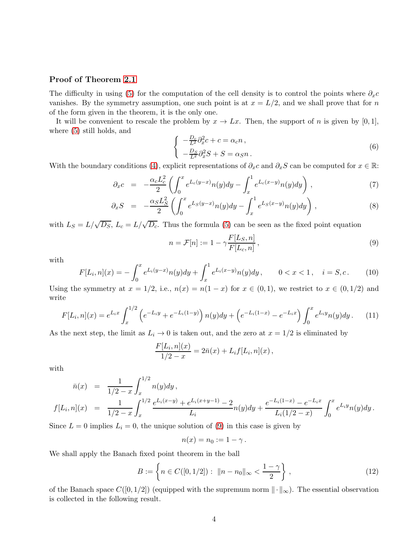#### Proof of Theorem [2.1](#page-3-2)

The difficulty in using [\(5\)](#page-3-3) for the computation of the cell density is to control the points where  $\partial_x c$ vanishes. By the symmetry assumption, one such point is at  $x = L/2$ , and we shall prove that for n of the form given in the theorem, it is the only one.

It will be convenient to rescale the problem by  $x \to Lx$ . Then, the support of n is given by [0, 1], where [\(5\)](#page-3-3) still holds, and

$$
\begin{cases}\n-\frac{D_c}{L^2}\partial_x^2 c + c = \alpha_c n, \\
-\frac{D_S}{L^2}\partial_x^2 S + S = \alpha_S n.\n\end{cases} (6)
$$

With the boundary conditions [\(4\)](#page-3-4), explicit representations of  $\partial_x c$  and  $\partial_x S$  can be computed for  $x \in \mathbb{R}$ :

$$
\partial_x c = -\frac{\alpha_c L_c^2}{2} \left( \int_0^x e^{L_c(y-x)} n(y) dy - \int_x^1 e^{L_c(x-y)} n(y) dy \right), \tag{7}
$$

$$
\partial_x S = -\frac{\alpha_S L_S^2}{2} \left( \int_0^x e^{L_S(y-x)} n(y) dy - \int_x^1 e^{L_S(x-y)} n(y) dy \right), \tag{8}
$$

with  $L_S = L/\sqrt{D_S}$ ,  $L_c = L/\sqrt{D_c}$ . Thus the formula [\(5\)](#page-3-3) can be seen as the fixed point equation

<span id="page-4-0"></span>
$$
n = \mathcal{F}[n] := 1 - \gamma \frac{F[L_S, n]}{F[L_c, n]},
$$
\n
$$
(9)
$$

with

<span id="page-4-2"></span>
$$
F[L_i, n](x) = -\int_0^x e^{L_i(y-x)} n(y) dy + \int_x^1 e^{L_i(x-y)} n(y) dy, \qquad 0 < x < 1, \quad i = S, c. \tag{10}
$$

Using the symmetry at  $x = 1/2$ , i.e.,  $n(x) = n(1-x)$  for  $x \in (0,1)$ , we restrict to  $x \in (0,1/2)$  and write

<span id="page-4-1"></span>
$$
F[L_i, n](x) = e^{L_i x} \int_x^{1/2} \left( e^{-L_i y} + e^{-L_i (1-y)} \right) n(y) dy + \left( e^{-L_i (1-x)} - e^{-L_i x} \right) \int_0^x e^{L_i y} n(y) dy. \tag{11}
$$

As the next step, the limit as  $L_i \to 0$  is taken out, and the zero at  $x = 1/2$  is eliminated by

$$
\frac{F[L_i, n](x)}{1/2 - x} = 2\bar{n}(x) + L_i f[L_i, n](x) ,
$$

with

$$
\bar{n}(x) = \frac{1}{1/2 - x} \int_x^{1/2} n(y) dy,
$$
\n
$$
f[L_i, n](x) = \frac{1}{1/2 - x} \int_x^{1/2} \frac{e^{L_i(x-y)} + e^{L_i(x+y-1)} - 2}{L_i} n(y) dy + \frac{e^{-L_i(1-x)} - e^{-L_i x}}{L_i(1/2 - x)} \int_0^x e^{L_i y} n(y) dy.
$$

Since  $L = 0$  implies  $L_i = 0$ , the unique solution of [\(9\)](#page-4-0) in this case is given by

$$
n(x)=n_0:=1-\gamma.
$$

We shall apply the Banach fixed point theorem in the ball

$$
B := \left\{ n \in C([0, 1/2]) : ||n - n_0||_{\infty} < \frac{1 - \gamma}{2} \right\},\tag{12}
$$

of the Banach space  $C([0, 1/2])$  (equipped with the supremum norm  $\|\cdot\|_{\infty}$ ). The essential observation is collected in the following result.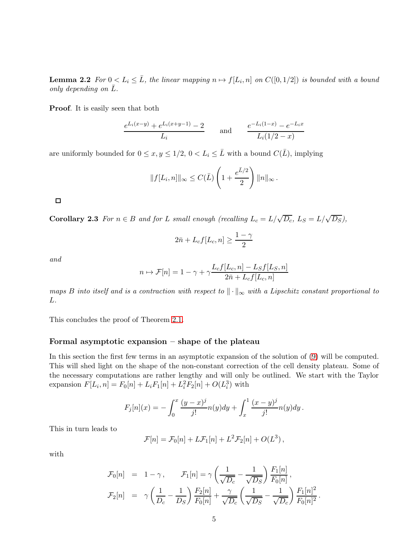**Lemma 2.2** For  $0 \le L_i \le \overline{L}$ , the linear mapping  $n \mapsto f[L_i, n]$  on  $C([0, 1/2])$  is bounded with a bound *only depending on L.* 

Proof. It is easily seen that both

$$
\frac{e^{L_i(x-y)} + e^{L_i(x+y-1)} - 2}{L_i} \quad \text{and} \quad \frac{e^{-L_i(1-x)} - e^{-L_i x}}{L_i(1/2 - x)}
$$

are uniformly bounded for  $0 \le x, y \le 1/2, 0 < L_i \le \bar{L}$  with a bound  $C(\bar{L})$ , implying

$$
||f[L_i, n]||_{\infty} \leq C(\bar{L}) \left(1 + \frac{e^{\bar{L}/2}}{2}\right) ||n||_{\infty}.
$$

 $\Box$ 

Corollary 2.3 *For*  $n \in B$  *and for* L *small enough (recalling*  $L_c = L/\sqrt{D_c}$ ,  $L_S = L/\sqrt{D_S}$ ),

$$
2\bar{n} + L_c f[L_c, n] \ge \frac{1-\gamma}{2}
$$

*and*

$$
n \mapsto \mathcal{F}[n] = 1 - \gamma + \gamma \frac{L_c f[L_c, n] - L_S f[L_S, n]}{2\bar{n} + L_c f[L_c, n]}
$$

*maps* B into itself and is a contraction with respect to  $\|\cdot\|_{\infty}$  with a Lipschitz constant proportional to L*.*

This concludes the proof of Theorem [2.1.](#page-3-2)

#### Formal asymptotic expansion – shape of the plateau

In this section the first few terms in an asymptotic expansion of the solution of [\(9\)](#page-4-0) will be computed. This will shed light on the shape of the non-constant correction of the cell density plateau. Some of the necessary computations are rather lengthy and will only be outlined. We start with the Taylor expansion  $F[L_i, n] = F_0[n] + L_i F_1[n] + L_i^2 F_2[n] + O(L_i^3)$  with

$$
F_j[n](x) = -\int_0^x \frac{(y-x)^j}{j!} n(y) dy + \int_x^1 \frac{(x-y)^j}{j!} n(y) dy.
$$

This in turn leads to

$$
\mathcal{F}[n] = \mathcal{F}_0[n] + L\mathcal{F}_1[n] + L^2\mathcal{F}_2[n] + O(L^3),
$$

with

$$
\mathcal{F}_0[n] = 1 - \gamma, \qquad \mathcal{F}_1[n] = \gamma \left( \frac{1}{\sqrt{D_c}} - \frac{1}{\sqrt{D_S}} \right) \frac{F_1[n]}{F_0[n]},
$$
  

$$
\mathcal{F}_2[n] = \gamma \left( \frac{1}{D_c} - \frac{1}{D_S} \right) \frac{F_2[n]}{F_0[n]} + \frac{\gamma}{\sqrt{D_c}} \left( \frac{1}{\sqrt{D_S}} - \frac{1}{\sqrt{D_c}} \right) \frac{F_1[n]^2}{F_0[n]^2}
$$

.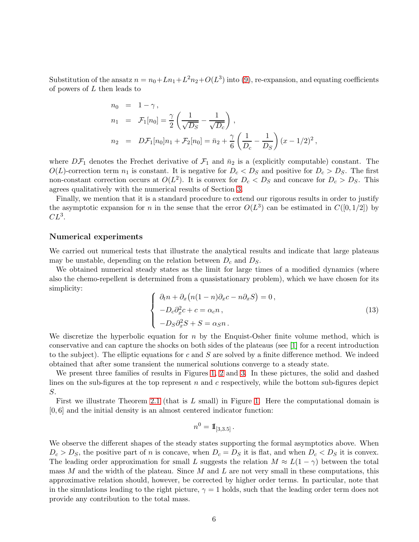Substitution of the ansatz  $n = n_0 + Ln_1 + L^2n_2 + O(L^3)$  into [\(9\)](#page-4-0), re-expansion, and equating coefficients of powers of L then leads to

$$
n_0 = 1 - \gamma,
$$
  
\n
$$
n_1 = \mathcal{F}_1[n_0] = \frac{\gamma}{2} \left( \frac{1}{\sqrt{D_S}} - \frac{1}{\sqrt{D_c}} \right),
$$
  
\n
$$
n_2 = D\mathcal{F}_1[n_0]n_1 + \mathcal{F}_2[n_0] = \bar{n}_2 + \frac{\gamma}{6} \left( \frac{1}{D_c} - \frac{1}{D_S} \right) (x - 1/2)^2,
$$

where  $D\mathcal{F}_1$  denotes the Frechet derivative of  $\mathcal{F}_1$  and  $\bar{n}_2$  is a (explicitly computable) constant. The  $O(L)$ -correction term  $n_1$  is constant. It is negative for  $D_c < D_S$  and positive for  $D_c > D_S$ . The first non-constant correction occurs at  $O(L^2)$ . It is convex for  $D_c < D_S$  and concave for  $D_c > D_S$ . This agrees qualitatively with the numerical results of Section [3.](#page-7-0)

Finally, we mention that it is a standard procedure to extend our rigorous results in order to justify the asymptotic expansion for n in the sense that the error  $O(L^3)$  can be estimated in  $C([0, 1/2])$  by  $CL^3$ .

#### <span id="page-6-1"></span>Numerical experiments

We carried out numerical tests that illustrate the analytical results and indicate that large plateaus may be unstable, depending on the relation between  $D_c$  and  $D_S$ .

We obtained numerical steady states as the limit for large times of a modified dynamics (where also the chemo-repellent is determined from a quasistationary problem), which we have chosen for its simplicity:

<span id="page-6-0"></span>
$$
\begin{cases}\n\partial_t n + \partial_x (n(1-n)\partial_x c - n\partial_x S) = 0, \\
-D_c \partial_x^2 c + c = \alpha_c n, \\
-D_S \partial_x^2 S + S = \alpha_S n.\n\end{cases}
$$
\n(13)

We discretize the hyperbolic equation for  $n$  by the Enquist-Osher finite volume method, which is conservative and can capture the shocks on both sides of the plateaus (see [\[1\]](#page-19-8) for a recent introduction to the subject). The elliptic equations for c and  $S$  are solved by a finite difference method. We indeed obtained that after some transient the numerical solutions converge to a steady state.

We present three families of results in Figures [1,](#page-7-1) [2](#page-8-0) and [3.](#page-8-1) In these pictures, the solid and dashed lines on the sub-figures at the top represent  $n$  and  $c$  respectively, while the bottom sub-figures depict S.

First we illustrate Theorem [2.1](#page-3-2) (that is  $L$  small) in Figure [1.](#page-7-1) Here the computational domain is [0, 6] and the initial density is an almost centered indicator function:

$$
n^0 = \mathbb{I}_{[3,3.5]}.
$$

We observe the different shapes of the steady states supporting the formal asymptotics above. When  $D_c > D_s$ , the positive part of n is concave, when  $D_c = D_s$  it is flat, and when  $D_c < D_s$  it is convex. The leading order approximation for small L suggests the relation  $M \approx L(1-\gamma)$  between the total mass M and the width of the plateau. Since M and L are not very small in these computations, this approximative relation should, however, be corrected by higher order terms. In particular, note that in the simulations leading to the right picture,  $\gamma = 1$  holds, such that the leading order term does not provide any contribution to the total mass.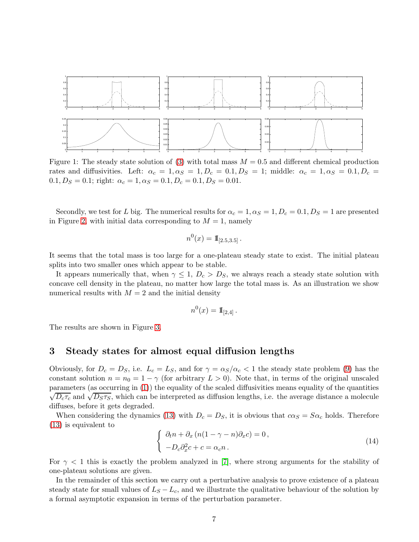

<span id="page-7-1"></span>Figure 1: The steady state solution of [\(3\)](#page-3-1) with total mass  $M = 0.5$  and different chemical production rates and diffusivities. Left:  $\alpha_c = 1, \alpha_S = 1, D_c = 0.1, D_S = 1$ ; middle:  $\alpha_c = 1, \alpha_S = 0.1, D_c = 1$  $0.1, D_S = 0.1;$  right:  $\alpha_c = 1, \alpha_S = 0.1, D_c = 0.1, D_S = 0.01.$ 

Secondly, we test for L big. The numerical results for  $\alpha_c = 1, \alpha_S = 1, D_c = 0.1, D_S = 1$  are presented in Figure [2,](#page-8-0) with initial data corresponding to  $M = 1$ , namely

$$
n^0(x) = \mathbb{I}_{[2.5,3.5]}.
$$

It seems that the total mass is too large for a one-plateau steady state to exist. The initial plateau splits into two smaller ones which appear to be stable.

It appears numerically that, when  $\gamma \leq 1$ ,  $D_c > D_S$ , we always reach a steady state solution with concave cell density in the plateau, no matter how large the total mass is. As an illustration we show numerical results with  $M = 2$  and the initial density

$$
n^0(x) = \mathbb{I}_{[2,4]}.
$$

The results are shown in Figure [3.](#page-8-1)

### <span id="page-7-0"></span>3 Steady states for almost equal diffusion lengths

Obviously, for  $D_c = D_S$ , i.e.  $L_c = L_S$ , and for  $\gamma = \alpha_S/\alpha_c < 1$  the steady state problem [\(9\)](#page-4-0) has the constant solution  $n = n_0 = 1 - \gamma$  (for arbitrary  $L > 0$ ). Note that, in terms of the original unscaled parameters (as occurring in [\(1\)](#page-1-0)) the equality of the scaled diffusivities means equality of the quantities  $\sqrt{D_c\tau_c}$  and  $\sqrt{D_S\tau_S}$ , which can be interpreted as diffusion lengths, i.e. the average distance a molecule diffuses, before it gets degraded.

When considering the dynamics [\(13\)](#page-6-0) with  $D_c = D_S$ , it is obvious that  $c\alpha_S = S\alpha_c$  holds. Therefore [\(13\)](#page-6-0) is equivalent to

$$
\begin{cases}\n\partial_t n + \partial_x (n(1 - \gamma - n)\partial_x c) = 0, \\
-D_c \partial_x^2 c + c = \alpha_c n.\n\end{cases}
$$
\n(14)

For  $\gamma$  < 1 this is exactly the problem analyzed in [\[7\]](#page-19-3), where strong arguments for the stability of one-plateau solutions are given.

In the remainder of this section we carry out a perturbative analysis to prove existence of a plateau steady state for small values of  $L_S - L_c$ , and we illustrate the qualitative behaviour of the solution by a formal asymptotic expansion in terms of the perturbation parameter.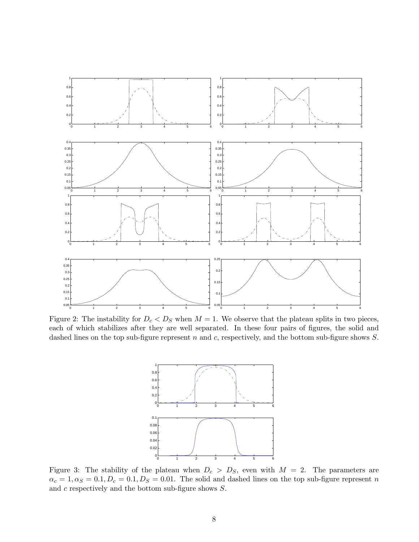

<span id="page-8-0"></span>Figure 2: The instability for  $D_c < D_S$  when  $M = 1$ . We observe that the plateau splits in two pieces, each of which stabilizes after they are well separated. In these four pairs of figures, the solid and dashed lines on the top sub-figure represent  $n$  and  $c$ , respectively, and the bottom sub-figure shows  $S$ .



<span id="page-8-1"></span>Figure 3: The stability of the plateau when  $D_c > D_S$ , even with  $M = 2$ . The parameters are  $\alpha_c = 1, \alpha_S = 0.1, D_c = 0.1, D_S = 0.01$ . The solid and dashed lines on the top sub-figure represent n and c respectively and the bottom sub-figure shows S.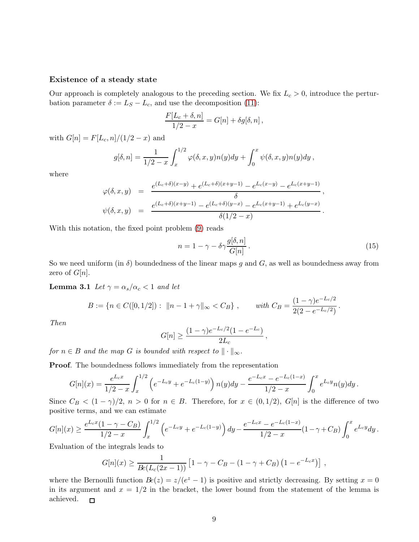#### Existence of a steady state

Our approach is completely analogous to the preceding section. We fix  $L_c > 0$ , introduce the perturbation parameter  $\delta := L_S - L_c$ , and use the decomposition [\(11\)](#page-4-1):

$$
\frac{F[L_c+\delta,n]}{1/2-x} = G[n] + \delta g[\delta,n],
$$

with  $G[n] = F[L_c, n]/(1/2 - x)$  and

$$
g[\delta,n] = \frac{1}{1/2-x} \int_x^{1/2} \varphi(\delta,x,y)n(y)dy + \int_0^x \psi(\delta,x,y)n(y)dy,
$$

where

$$
\varphi(\delta, x, y) = \frac{e^{(L_c+\delta)(x-y)} + e^{(L_c+\delta)(x+y-1)} - e^{L_c(x-y)} - e^{L_c(x+y-1)}}{\delta},
$$
  

$$
\psi(\delta, x, y) = \frac{e^{(L_c+\delta)(x+y-1)} - e^{(L_c+\delta)(y-x)} - e^{L_c(x+y-1)} + e^{L_c(y-x)}}{\delta(1/2 - x)}.
$$

With this notation, the fixed point problem [\(9\)](#page-4-0) reads

<span id="page-9-0"></span>
$$
n = 1 - \gamma - \delta \gamma \frac{g[\delta, n]}{G[n]}.
$$
\n(15)

.

So we need uniform (in  $\delta$ ) boundedness of the linear maps g and G, as well as boundedness away from zero of  $G[n]$ .

**Lemma 3.1** *Let*  $\gamma = \alpha_s/\alpha_c < 1$  *and let* 

$$
B := \{ n \in C([0, 1/2]) : ||n - 1 + \gamma||_{\infty} < C_B \}, \quad \text{with } C_B = \frac{(1 - \gamma)e^{-L_c/2}}{2(2 - e^{-L_c/2})}
$$

*Then*

$$
G[n] \ge \frac{(1-\gamma)e^{-L_c/2}(1-e^{-L_c})}{2L_c},
$$

*for*  $n \in B$  *and the map G is bounded with respect to*  $\|\cdot\|_{\infty}$ *.* 

Proof. The boundedness follows immediately from the representation

$$
G[n](x) = \frac{e^{L_c x}}{1/2 - x} \int_x^{1/2} \left( e^{-L_c y} + e^{-L_c (1-y)} \right) n(y) dy - \frac{e^{-L_c x} - e^{-L_c (1-x)}}{1/2 - x} \int_0^x e^{L_c y} n(y) dy.
$$

Since  $C_B < (1 - \gamma)/2$ ,  $n > 0$  for  $n \in B$ . Therefore, for  $x \in (0, 1/2)$ ,  $G[n]$  is the difference of two positive terms, and we can estimate

$$
G[n](x) \ge \frac{e^{L_c x} (1 - \gamma - C_B)}{1/2 - x} \int_x^{1/2} \left( e^{-L_c y} + e^{-L_c (1 - y)} \right) dy - \frac{e^{-L_c x} - e^{-L_c (1 - x)}}{1/2 - x} (1 - \gamma + C_B) \int_0^x e^{L_c y} dy.
$$

Evaluation of the integrals leads to

$$
G[n](x) \geq \frac{1}{Be(L_c(2x-1))} \left[1 - \gamma - C_B - (1 - \gamma + C_B) (1 - e^{-L_c x})\right],
$$

where the Bernoulli function  $Be(z) = z/(e^z - 1)$  is positive and strictly decreasing. By setting  $x = 0$ in its argument and  $x = 1/2$  in the bracket, the lower bound from the statement of the lemma is achieved.  $\Box$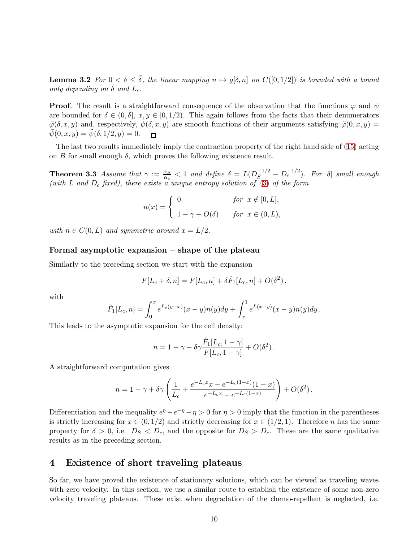**Lemma 3.2** *For*  $0 < \delta \leq \overline{\delta}$ *, the linear mapping*  $n \mapsto g[\delta, n]$  *on*  $C([0, 1/2])$  *is bounded with a bound only depending on*  $\bar{\delta}$  *and*  $L_c$ *.* 

**Proof.** The result is a straightforward consequence of the observation that the functions  $\varphi$  and  $\psi$ are bounded for  $\delta \in (0, \bar{\delta}], x, y \in [0, 1/2)$ . This again follows from the facts that their denumerators  $\tilde{\varphi}(\delta, x, y)$  and, respectively,  $\tilde{\psi}(\delta, x, y)$  are smooth functions of their arguments satisfying  $\tilde{\varphi}(0, x, y)$  $\tilde{\psi}(0, x, y) = \tilde{\psi}(\delta, 1/2, y) = 0.$  $\Box$ 

The last two results immediately imply the contraction property of the right hand side of [\(15\)](#page-9-0) acting on B for small enough  $\delta$ , which proves the following existence result.

**Theorem 3.3** *Assume that*  $\gamma := \frac{\alpha_S}{\alpha_S}$  $\frac{\alpha_S}{\alpha_c} < 1$  and define  $\delta = L(D_S^{-1/2} - D_c^{-1/2})$ . For  $|\delta|$  small enough *(with* L *and* D<sup>c</sup> *fixed), there exists a unique entropy solution of* [\(3\)](#page-3-1) *of the form*

$$
n(x) = \begin{cases} 0 & \text{for } x \notin [0, L], \\ 1 - \gamma + O(\delta) & \text{for } x \in (0, L), \end{cases}
$$

*with*  $n \in C(0,L)$  *and symmetric around*  $x = L/2$ *.* 

#### Formal asymptotic expansion – shape of the plateau

Similarly to the preceding section we start with the expansion

$$
F[L_c + \delta, n] = F[L_c, n] + \delta \hat{F}_1[L_c, n] + O(\delta^2),
$$

with

$$
\hat{F}_1[L_c, n] = \int_0^x e^{L_c(y-x)} (x-y)n(y) dy + \int_x^1 e^{L(x-y)} (x-y)n(y) dy.
$$

This leads to the asymptotic expansion for the cell density:

$$
n = 1 - \gamma - \delta \gamma \frac{\hat{F}_1[L_c, 1 - \gamma]}{F[L_c, 1 - \gamma]} + O(\delta^2).
$$

A straightforward computation gives

$$
n = 1 - \gamma + \delta \gamma \left( \frac{1}{L_c} + \frac{e^{-L_c x} x - e^{-L_c (1-x)} (1-x)}{e^{-L_c x} - e^{-L_c (1-x)}} \right) + O(\delta^2).
$$

Differentiation and the inequality  $e^{\eta} - e^{-\eta} - \eta > 0$  for  $\eta > 0$  imply that the function in the parentheses is strictly increasing for  $x \in (0, 1/2)$  and strictly decreasing for  $x \in (1/2, 1)$ . Therefore n has the same property for  $\delta > 0$ , i.e.  $D_S < D_c$ , and the opposite for  $D_S > D_c$ . These are the same qualitative results as in the preceding section.

### <span id="page-10-0"></span>4 Existence of short traveling plateaus

So far, we have proved the existence of stationary solutions, which can be viewed as traveling waves with zero velocity. In this section, we use a similar route to establish the existence of some non-zero velocity traveling plateaus. These exist when degradation of the chemo-repellent is neglected, i.e.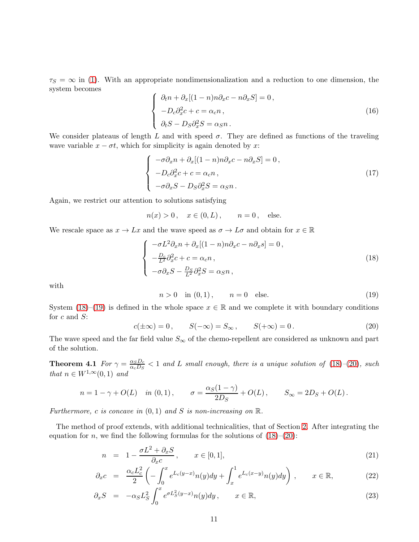$\tau_S = \infty$  in [\(1\)](#page-1-0). With an appropriate nondimensionalization and a reduction to one dimension, the system becomes

<span id="page-11-5"></span>
$$
\begin{cases}\n\partial_t n + \partial_x [(1 - n)n \partial_x c - n \partial_x S] = 0, \\
-D_c \partial_x^2 c + c = \alpha_c n, \\
\partial_t S - D_S \partial_x^2 S = \alpha_S n.\n\end{cases}
$$
\n(16)

We consider plateaus of length L and with speed  $\sigma$ . They are defined as functions of the traveling wave variable  $x - \sigma t$ , which for simplicity is again denoted by x:

<span id="page-11-6"></span>
$$
\begin{cases}\n-\sigma \partial_x n + \partial_x [(1-n)n \partial_x c - n \partial_x S] = 0, \\
-D_c \partial_x^2 c + c = \alpha_c n, \\
-\sigma \partial_x S - D_S \partial_x^2 S = \alpha_S n.\n\end{cases}
$$
\n(17)

Again, we restrict our attention to solutions satisfying

$$
n(x) > 0
$$
,  $x \in (0, L)$ ,  $n = 0$ , else.

We rescale space as  $x \to Lx$  and the wave speed as  $\sigma \to L\sigma$  and obtain for  $x \in \mathbb{R}$ 

<span id="page-11-0"></span>
$$
\begin{cases}\n-\sigma L^2 \partial_x n + \partial_x [(1-n)n \partial_x c - n \partial_x s] = 0, \\
-\frac{D_c}{L^2} \partial_x^2 c + c = \alpha_c n, \\
-\sigma \partial_x S - \frac{D_S}{L^2} \partial_x^2 S = \alpha_S n,\n\end{cases}
$$
\n(18)

with

<span id="page-11-1"></span>
$$
n > 0 \quad \text{in } (0, 1), \qquad n = 0 \quad \text{else.} \tag{19}
$$

System [\(18\)](#page-11-0)–[\(19\)](#page-11-1) is defined in the whole space  $x \in \mathbb{R}$  and we complete it with boundary conditions for  $c$  and  $S$ :

<span id="page-11-2"></span>
$$
c(\pm \infty) = 0, \qquad S(-\infty) = S_{\infty}, \qquad S(+\infty) = 0.
$$
 (20)

<span id="page-11-4"></span>The wave speed and the far field value  $S_{\infty}$  of the chemo-repellent are considered as unknown and part of the solution.

**Theorem 4.1** *For*  $\gamma = \frac{\alpha_S D_c}{\alpha_L D_c}$  $\frac{\alpha_S D_c}{\alpha_c D_S}$  < 1 and L small enough, there is a unique solution of [\(18\)](#page-11-0)–[\(20\)](#page-11-2), such *that*  $n \in W^{1,\infty}(0,1)$  *and* 

$$
n = 1 - \gamma + O(L)
$$
 in  $(0, 1)$ ,  $\sigma = \frac{\alpha_S(1 - \gamma)}{2D_S} + O(L)$ ,  $S_{\infty} = 2D_S + O(L)$ .

*Furthermore,* c *is concave in* (0, 1) *and* S *is non-increasing on* R*.*

The method of proof extends, with additional technicalities, that of Section [2.](#page-3-0) After integrating the equation for *n*, we find the following formulas for the solutions of  $(18)–(20)$  $(18)–(20)$ :

<span id="page-11-3"></span>
$$
n = 1 - \frac{\sigma L^2 + \partial_x S}{\partial_x c}, \qquad x \in [0, 1], \tag{21}
$$

$$
\partial_x c = \frac{\alpha_c L_c^2}{2} \left( -\int_0^x e^{L_c(y-x)} n(y) dy + \int_x^1 e^{L_c(x-y)} n(y) dy \right), \qquad x \in \mathbb{R}, \tag{22}
$$

$$
\partial_x S = -\alpha_S L_S^2 \int_0^x e^{\sigma L_S^2(y-x)} n(y) dy, \qquad x \in \mathbb{R}, \tag{23}
$$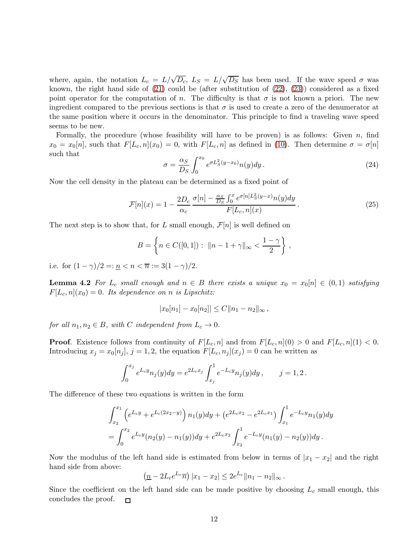where, again, the notation  $L_c = L/\sqrt{D_c}$ ,  $L_S = L/\sqrt{D_S}$  has been used. If the wave speed  $\sigma$  was known, the right hand side of [\(21\)](#page-11-3) could be (after substitution of [\(22\)](#page-11-3), [\(23\)](#page-11-3)) considered as a fixed point operator for the computation of n. The difficulty is that  $\sigma$  is not known a priori. The new ingredient compared to the previous sections is that  $\sigma$  is used to create a zero of the denumerator at the same position where it occurs in the denominator. This principle to find a traveling wave speed seems to be new.

Formally, the procedure (whose feasibility will have to be proven) is as follows: Given  $n$ , find  $x_0 = x_0[n]$ , such that  $F[L_c, n](x_0) = 0$ , with  $F[L_c, n]$  as defined in [\(10\)](#page-4-2). Then determine  $\sigma = \sigma[n]$ such that

<span id="page-12-1"></span>
$$
\sigma = \frac{\alpha_S}{D_S} \int_0^{x_0} e^{\sigma L_S^2(y - x_0)} n(y) dy.
$$
\n(24)

Now the cell density in the plateau can be determined as a fixed point of

$$
\mathcal{F}[n](x) = 1 - \frac{2D_c}{\alpha_c} \frac{\sigma[n] - \frac{\alpha_S}{D_S} \int_0^x e^{\sigma[n]L_S^2(y-x)} n(y) dy}{F[L_c, n](x)}.
$$
\n(25)

The next step is to show that, for L small enough,  $\mathcal{F}[n]$  is well defined on

$$
B = \left\{ n \in C([0,1]) : ||n - 1 + \gamma||_{\infty} < \frac{1 - \gamma}{2} \right\},\,
$$

<span id="page-12-0"></span>i.e. for  $(1 - \gamma)/2 =: \underline{n} < n < \overline{n} := 3(1 - \gamma)/2$ .

**Lemma 4.2** For  $L_c$  *small enough and*  $n \in B$  *there exists a unique*  $x_0 = x_0[n] \in (0,1)$  *satisfying*  $F[L_c, n](x_0) = 0$ . Its dependence on *n* is Lipschitz:

$$
|x_0[n_1]-x_0[n_2]|\leq C||n_1-n_2||_{\infty},
$$

*for all*  $n_1, n_2 \in B$ *, with* C *independent from*  $L_c \rightarrow 0$ *.* 

**Proof.** Existence follows from continuity of  $F[L_c, n]$  and from  $F[L_c, n](0) > 0$  and  $F[L_c, n](1) < 0$ . Introducing  $x_j = x_0[n_j]$ ,  $j = 1, 2$ , the equation  $F[L_c, n_j](x_j) = 0$  can be written as

$$
\int_0^{x_j} e^{L_c y} n_j(y) dy = e^{2L_c x_j} \int_{x_j}^1 e^{-L_c y} n_j(y) dy, \qquad j = 1, 2.
$$

The difference of these two equations is written in the form

$$
\int_{x_2}^{x_1} \left( e^{L_c y} + e^{L_c (2x_2 - y)} \right) n_1(y) dy + \left( e^{2L_c x_2} - e^{2L_c x_1} \right) \int_{x_1}^1 e^{-L_c y} n_1(y) dy
$$
  
= 
$$
\int_0^{x_2} e^{L_c y} (n_2(y) - n_1(y)) dy + e^{2L_c x_2} \int_{x_2}^1 e^{-L_c y} (n_1(y) - n_2(y)) dy.
$$

Now the modulus of the left hand side is estimated from below in terms of  $|x_1 - x_2|$  and the right hand side from above:

$$
\left(\underline{n} - 2L_c e^{L_c}\overline{n}\right)|x_1 - x_2| \leq 2e^{L_c} ||n_1 - n_2||_{\infty}.
$$

<span id="page-12-2"></span>Since the coefficient on the left hand side can be made positive by choosing  $L_c$  small enough, this concludes the proof.  $\Box$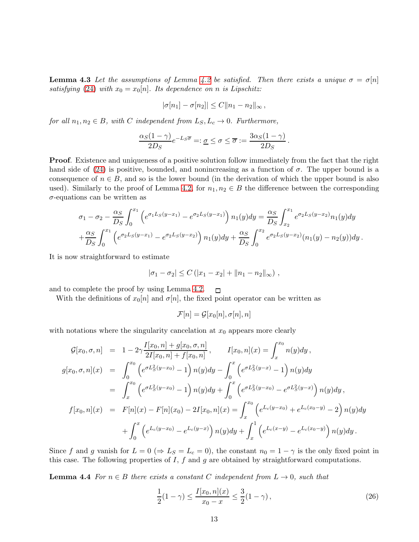**Lemma 4.3** Let the assumptions of Lemma [4.2](#page-12-0) be satisfied. Then there exists a unique  $\sigma = \sigma[n]$ *satisfying* [\(24\)](#page-12-1) *with*  $x_0 = x_0[n]$ *. Its dependence on n is Lipschitz:* 

$$
|\sigma[n_1] - \sigma[n_2]| \leq C ||n_1 - n_2||_{\infty},
$$

*for all*  $n_1, n_2 \in B$ *, with* C *independent from*  $L_S, L_c \rightarrow 0$ *. Furthermore,* 

$$
\frac{\alpha_S(1-\gamma)}{2D_S}e^{-L_S\overline{\sigma}} =: \underline{\sigma} \leq \sigma \leq \overline{\sigma} := \frac{3\alpha_S(1-\gamma)}{2D_S}.
$$

Proof. Existence and uniqueness of a positive solution follow immediately from the fact that the right hand side of [\(24\)](#page-12-1) is positive, bounded, and nonincreasing as a function of  $\sigma$ . The upper bound is a consequence of  $n \in B$ , and so is the lower bound (in the derivation of which the upper bound is also used). Similarly to the proof of Lemma [4.2,](#page-12-0) for  $n_1, n_2 \in B$  the difference between the corresponding  $\sigma$ -equations can be written as

$$
\sigma_1 - \sigma_2 - \frac{\alpha_S}{D_S} \int_0^{x_1} \left( e^{\sigma_1 L_S(y - x_1)} - e^{\sigma_2 L_S(y - x_1)} \right) n_1(y) dy = \frac{\alpha_S}{D_S} \int_{x_2}^{x_1} e^{\sigma_2 L_S(y - x_2)} n_1(y) dy + \frac{\alpha_S}{D_S} \int_0^{x_1} \left( e^{\sigma_2 L_S(y - x_1)} - e^{\sigma_2 L_S(y - x_2)} \right) n_1(y) dy + \frac{\alpha_S}{D_S} \int_0^{x_2} e^{\sigma_2 L_S(y - x_2)} (n_1(y) - n_2(y)) dy.
$$

It is now straightforward to estimate

$$
|\sigma_1 - \sigma_2| \leq C (|x_1 - x_2| + ||n_1 - n_2||_{\infty}),
$$

and to complete the proof by using Lemma [4.2.](#page-12-0)  $\Box$ 

With the definitions of  $x_0[n]$  and  $\sigma[n]$ , the fixed point operator can be written as

$$
\mathcal{F}[n]=\mathcal{G}[x_0[n],\sigma[n],n]
$$

with notations where the singularity cancelation at  $x_0$  appears more clearly

$$
\mathcal{G}[x_0, \sigma, n] = 1 - 2\gamma \frac{I[x_0, n] + g[x_0, \sigma, n]}{2I[x_0, n] + f[x_0, n]}, \qquad I[x_0, n](x) = \int_x^{x_0} n(y)dy,
$$
  
\n
$$
g[x_0, \sigma, n](x) = \int_0^{x_0} \left(e^{\sigma L_S^2(y - x_0)} - 1\right) n(y)dy - \int_0^x \left(e^{\sigma L_S^2(y - x)} - 1\right) n(y)dy
$$
  
\n
$$
= \int_x^{x_0} \left(e^{\sigma L_S^2(y - x_0)} - 1\right) n(y)dy + \int_0^x \left(e^{\sigma L_S^2(y - x_0)} - e^{\sigma L_S^2(y - x)}\right) n(y)dy,
$$
  
\n
$$
f[x_0, n](x) = F[n](x) - F[n](x_0) - 2I[x_0, n](x) = \int_x^{x_0} \left(e^{L_c(y - x_0)} + e^{L_c(x_0 - y)} - 2\right) n(y)dy
$$
  
\n
$$
+ \int_0^x \left(e^{L_c(y - x_0)} - e^{L_c(y - x)}\right) n(y)dy + \int_x^1 \left(e^{L_c(x - y)} - e^{L_c(x_0 - y)}\right) n(y)dy.
$$

Since f and g vanish for  $L = 0 \implies L_S = L_c = 0$ , the constant  $n_0 = 1 - \gamma$  is the only fixed point in this case. The following properties of  $I$ ,  $f$  and  $g$  are obtained by straightforward computations.

**Lemma 4.4** *For*  $n \in B$  *there exists a constant* C *independent* from  $L \rightarrow 0$ *, such that* 

$$
\frac{1}{2}(1-\gamma) \le \frac{I[x_0, n](x)}{x_0 - x} \le \frac{3}{2}(1-\gamma),\tag{26}
$$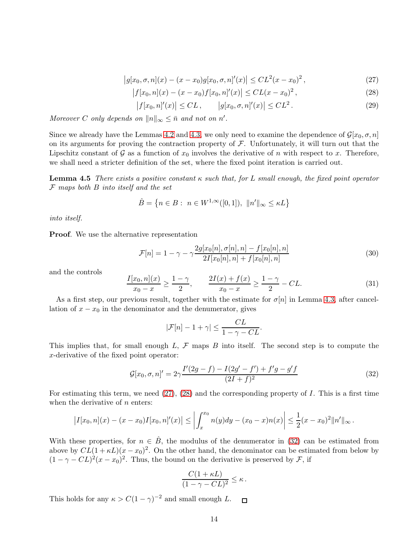<span id="page-14-0"></span>
$$
|g[x_0, \sigma, n](x) - (x - x_0)g[x_0, \sigma, n]'(x)| \leq CL^2(x - x_0)^2,
$$
\n(27)

<span id="page-14-1"></span>
$$
\left|f[x_0, n](x) - (x - x_0)f[x_0, n]'(x)\right| \leq CL(x - x_0)^2,
$$
\n(28)

$$
|f[x_0, n]'(x)| \le CL, \qquad |g[x_0, \sigma, n]'(x)| \le CL^2. \tag{29}
$$

*Moreover* C only depends on  $||n||_{\infty} \leq \bar{n}$  and not on n'.

Since we already have the Lemmas [4.2](#page-12-0) and [4.3,](#page-12-2) we only need to examine the dependence of  $\mathcal{G}[x_0, \sigma, n]$ on its arguments for proving the contraction property of  $F$ . Unfortunately, it will turn out that the Lipschitz constant of G as a function of  $x_0$  involves the derivative of n with respect to x. Therefore, we shall need a stricter definition of the set, where the fixed point iteration is carried out.

<span id="page-14-5"></span>Lemma 4.5 *There exists a positive constant* κ *such that, for* L *small enough, the fixed point operator* F *maps both* B *into itself and the set*

$$
\hat{B} = \left\{ n \in B : n \in W^{1,\infty}([0,1]), \|n'\|_{\infty} \le \kappa L \right\}
$$

*into itself.*

Proof. We use the alternative representation

<span id="page-14-3"></span>
$$
\mathcal{F}[n] = 1 - \gamma - \gamma \frac{2g[x_0[n], \sigma[n], n] - f[x_0[n], n]}{2I[x_0[n], n] + f[x_0[n], n]}
$$
\n(30)

and the controls

<span id="page-14-4"></span>
$$
\frac{I[x_0, n](x)}{x_0 - x} \ge \frac{1 - \gamma}{2}, \qquad \frac{2I(x) + f(x)}{x_0 - x} \ge \frac{1 - \gamma}{2} - CL.
$$
\n(31)

As a first step, our previous result, together with the estimate for  $\sigma[n]$  in Lemma [4.3,](#page-12-2) after cancellation of  $x - x_0$  in the denominator and the denumerator, gives

$$
|\mathcal{F}[n]-1+\gamma| \leq \frac{CL}{1-\gamma-CL}.
$$

This implies that, for small enough  $L, \mathcal{F}$  maps  $B$  into itself. The second step is to compute the x-derivative of the fixed point operator:

<span id="page-14-2"></span>
$$
\mathcal{G}[x_0, \sigma, n]' = 2\gamma \frac{I'(2g - f) - I(2g' - f') + f'g - g'f}{(2I + f)^2}
$$
\n(32)

For estimating this term, we need  $(27)$ ,  $(28)$  and the corresponding property of I. This is a first time when the derivative of  $n$  enters:

$$
\left|I[x_0,n](x)-(x-x_0)I[x_0,n]'(x)\right|\leq \left|\int_x^{x_0} n(y)dy-(x_0-x)n(x)\right|\leq \frac{1}{2}(x-x_0)^2\|n'\|_{\infty}.
$$

With these properties, for  $n \in \hat{B}$ , the modulus of the denumerator in [\(32\)](#page-14-2) can be estimated from above by  $CL(1 + \kappa L)(x - x_0)^2$ . On the other hand, the denominator can be estimated from below by  $(1 - \gamma - CL)^2(x - x_0)^2$ . Thus, the bound on the derivative is preserved by F, if

$$
\frac{C(1+\kappa L)}{(1-\gamma -CL)^2} \leq \kappa.
$$

<span id="page-14-6"></span>This holds for any  $\kappa > C(1-\gamma)^{-2}$  and small enough L.  $\Box$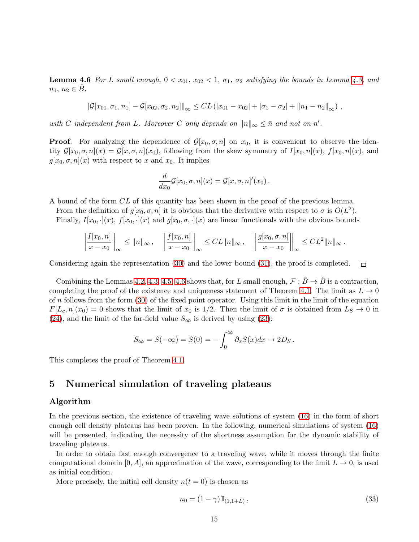**Lemma 4.6** For L small enough,  $0 < x_{01}$ ,  $x_{02} < 1$ ,  $\sigma_1$ ,  $\sigma_2$  satisfying the bounds in Lemma [4.3,](#page-12-2) and  $n_1, n_2 \in B$ 

$$
\|\mathcal{G}[x_{01}, \sigma_1, n_1] - \mathcal{G}[x_{02}, \sigma_2, n_2]\|_{\infty} \leq CL \left( |x_{01} - x_{02}| + |\sigma_1 - \sigma_2| + \|n_1 - n_2\|_{\infty} \right),
$$

*with* C *independent from* L. Moreover C *only depends on*  $||n||_{\infty} \leq \bar{n}$  *and not on*  $n'$ *.* 

**Proof.** For analyzing the dependence of  $\mathcal{G}[x_0, \sigma, n]$  on  $x_0$ , it is convenient to observe the identity  $\mathcal{G}[x_0, \sigma, n](x) = \mathcal{G}[x, \sigma, n](x_0)$ , following from the skew symmetry of  $I[x_0, n](x)$ ,  $f[x_0, n](x)$ , and  $g[x_0, \sigma, n](x)$  with respect to x and  $x_0$ . It implies

$$
\frac{d}{dx_0}\mathcal{G}[x_0,\sigma,n](x)=\mathcal{G}[x,\sigma,n]'(x_0).
$$

A bound of the form CL of this quantity has been shown in the proof of the previous lemma.

From the definition of  $g[x_0, \sigma, n]$  it is obvious that the derivative with respect to  $\sigma$  is  $O(L^2)$ . Finally,  $I[x_0, \cdot](x)$ ,  $f[x_0, \cdot](x)$  and  $g[x_0, \sigma, \cdot](x)$  are linear functionals with the obvious bounds

$$
\left\|\frac{I[x_0,n]}{x-x_0}\right\|_{\infty} \leq \|n\|_{\infty}, \quad \left\|\frac{f[x_0,n]}{x-x_0}\right\|_{\infty} \leq CL\|n\|_{\infty}, \quad \left\|\frac{g[x_0,\sigma,n]}{x-x_0}\right\|_{\infty} \leq CL^2\|n\|_{\infty}.
$$

Considering again the representation [\(30\)](#page-14-3) and the lower bound [\(31\)](#page-14-4), the proof is completed.

Combining the Lemmas [4.2,](#page-12-0) [4.3,](#page-12-2) [4.5,](#page-14-5) [4.6](#page-14-6) shows that, for L small enough,  $\mathcal{F} : \hat{B} \to \hat{B}$  is a contraction, completing the proof of the existence and uniqueness statement of Theorem [4.1.](#page-11-4) The limit as  $L \rightarrow 0$ of n follows from the form  $(30)$  of the fixed point operator. Using this limit in the limit of the equation  $F[L_c, n](x_0) = 0$  shows that the limit of  $x_0$  is 1/2. Then the limit of  $\sigma$  is obtained from  $L_S \to 0$  in [\(24\)](#page-12-1), and the limit of the far-field value  $S_{\infty}$  is derived by using [\(23\)](#page-11-3):

$$
S_{\infty} = S(-\infty) = S(0) = -\int_0^{\infty} \partial_x S(x) dx \to 2D_S.
$$

This completes the proof of Theorem [4.1.](#page-11-4)

## 5 Numerical simulation of traveling plateaus

#### Algorithm

In the previous section, the existence of traveling wave solutions of system [\(16\)](#page-11-5) in the form of short enough cell density plateaus has been proven. In the following, numerical simulations of system [\(16\)](#page-11-5) will be presented, indicating the necessity of the shortness assumption for the dynamic stability of traveling plateaus.

In order to obtain fast enough convergence to a traveling wave, while it moves through the finite computational domain [0, A], an approximation of the wave, corresponding to the limit  $L \to 0$ , is used as initial condition.

More precisely, the initial cell density  $n(t = 0)$  is chosen as

$$
n_0 = (1 - \gamma) \mathbb{I}_{(1, 1 + L)}, \tag{33}
$$

 $\Box$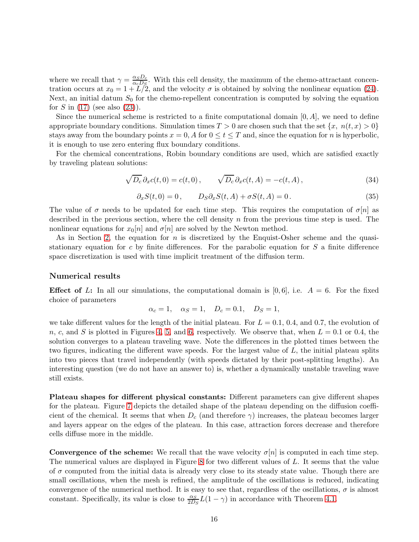where we recall that  $\gamma = \frac{\alpha_S D_c}{\alpha_S D_c}$  $\frac{\alpha_S D_c}{\alpha_c D_S}$ . With this cell density, the maximum of the chemo-attractant concentration occurs at  $x_0 = 1 + L/2$ , and the velocity  $\sigma$  is obtained by solving the nonlinear equation [\(24\)](#page-12-1). Next, an initial datum  $S_0$  for the chemo-repellent concentration is computed by solving the equation for S in  $(17)$  (see also  $(23)$ ).

Since the numerical scheme is restricted to a finite computational domain  $[0, A]$ , we need to define appropriate boundary conditions. Simulation times  $T > 0$  are chosen such that the set  $\{x, n(t,x) > 0\}$ stays away from the boundary points  $x = 0$ , A for  $0 \le t \le T$  and, since the equation for n is hyperbolic, it is enough to use zero entering flux boundary conditions.

For the chemical concentrations, Robin boundary conditions are used, which are satisfied exactly by traveling plateau solutions:

$$
\sqrt{D_c} \partial_x c(t,0) = c(t,0), \qquad \sqrt{D_c} \partial_x c(t,A) = -c(t,A), \qquad (34)
$$

$$
\partial_x S(t,0) = 0, \qquad D_S \partial_x S(t,A) + \sigma S(t,A) = 0. \tag{35}
$$

The value of  $\sigma$  needs to be updated for each time step. This requires the computation of  $\sigma[n]$  as described in the previous section, where the cell density  $n$  from the previous time step is used. The nonlinear equations for  $x_0[n]$  and  $\sigma[n]$  are solved by the Newton method.

As in Section [2,](#page-6-1) the equation for n is discretized by the Enquist-Osher scheme and the quasistationary equation for  $c$  by finite differences. For the parabolic equation for  $S$  a finite difference space discretization is used with time implicit treatment of the diffusion term.

#### Numerical results

**Effect of** L: In all our simulations, the computational domain is [0,6], i.e.  $A = 6$ . For the fixed choice of parameters

$$
\alpha_c = 1, \quad \alpha_S = 1, \quad D_c = 0.1, \quad D_S = 1,
$$

we take different values for the length of the initial plateau. For  $L = 0.1, 0.4,$  and 0.7, the evolution of n, c, and S is plotted in Figures [4,](#page-17-0) [5,](#page-17-1) and [6,](#page-17-2) respectively. We observe that, when  $L = 0.1$  or 0.4, the solution converges to a plateau traveling wave. Note the differences in the plotted times between the two figures, indicating the different wave speeds. For the largest value of L, the initial plateau splits into two pieces that travel independently (with speeds dictated by their post-splitting lengths). An interesting question (we do not have an answer to) is, whether a dynamically unstable traveling wave still exists.

Plateau shapes for different physical constants: Different parameters can give different shapes for the plateau. Figure [7](#page-18-0) depicts the detailed shape of the plateau depending on the diffusion coefficient of the chemical. It seems that when  $D_c$  (and therefore  $\gamma$ ) increases, the plateau becomes larger and layers appear on the edges of the plateau. In this case, attraction forces decrease and therefore cells diffuse more in the middle.

**Convergence of the scheme:** We recall that the wave velocity  $\sigma[n]$  is computed in each time step. The numerical values are displayed in Figure [8](#page-19-9) for two different values of L. It seems that the value of  $\sigma$  computed from the initial data is already very close to its steady state value. Though there are small oscillations, when the mesh is refined, the amplitude of the oscillations is reduced, indicating convergence of the numerical method. It is easy to see that, regardless of the oscillations,  $\sigma$  is almost constant. Specifically, its value is close to  $\frac{\alpha_S}{2D_S}L(1-\gamma)$  in accordance with Theorem [4.1.](#page-11-4)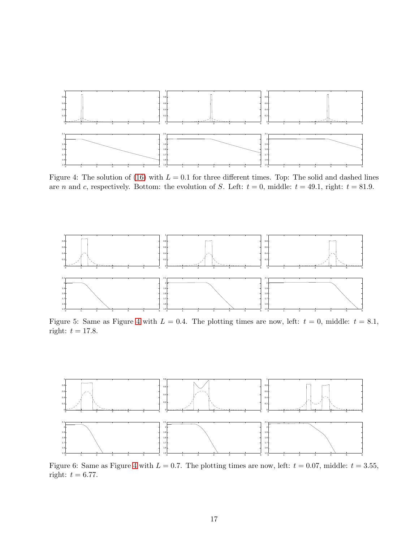

<span id="page-17-0"></span>Figure 4: The solution of [\(16\)](#page-11-5) with  $L = 0.1$  for three different times. Top: The solid and dashed lines are *n* and *c*, respectively. Bottom: the evolution of *S*. Left:  $t = 0$ , middle:  $t = 49.1$ , right:  $t = 81.9$ .



<span id="page-17-1"></span>Figure 5: Same as Figure [4](#page-17-0) with  $L = 0.4$ . The plotting times are now, left:  $t = 0$ , middle:  $t = 8.1$ , right:  $t = 17.8$ .



<span id="page-17-2"></span>Figure 6: Same as Figure [4](#page-17-0) with  $L = 0.7$ . The plotting times are now, left:  $t = 0.07$ , middle:  $t = 3.55$ , right:  $t = 6.77$ .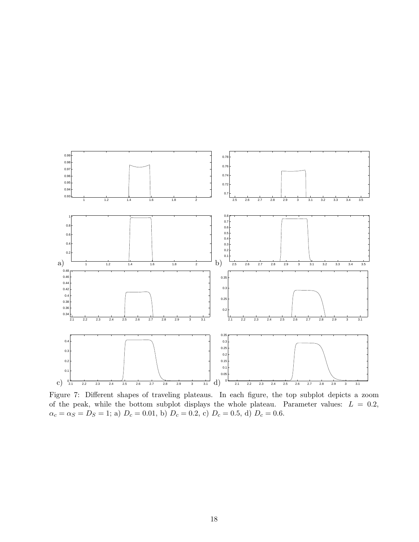

<span id="page-18-0"></span>Figure 7: Different shapes of traveling plateaus. In each figure, the top subplot depicts a zoom of the peak, while the bottom subplot displays the whole plateau. Parameter values:  $L = 0.2$ ,  $\alpha_c = \alpha_S = D_S = 1$ ; a)  $D_c = 0.01$ , b)  $D_c = 0.2$ , c)  $D_c = 0.5$ , d)  $D_c = 0.6$ .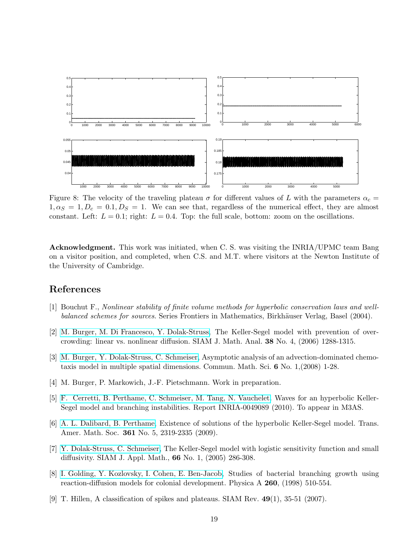

<span id="page-19-9"></span>Figure 8: The velocity of the traveling plateau  $\sigma$  for different values of L with the parameters  $\alpha_c =$  $1, \alpha_S = 1, D_c = 0.1, D_S = 1$ . We can see that, regardless of the numerical effect, they are almost constant. Left:  $L = 0.1$ ; right:  $L = 0.4$ . Top: the full scale, bottom: zoom on the oscillations.

Acknowledgment. This work was initiated, when C. S. was visiting the INRIA/UPMC team Bang on a visitor position, and completed, when C.S. and M.T. where visitors at the Newton Institute of the University of Cambridge.

## <span id="page-19-8"></span>References

- <span id="page-19-5"></span>[1] Bouchut F., *Nonlinear stability of finite volume methods for hyperbolic conservation laws and wellbalanced schemes for sources*. Series Frontiers in Mathematics, Birkhäuser Verlag, Basel (2004).
- <span id="page-19-6"></span>[2] [M. Burger, M. Di Francesco, Y. Dolak-Struss,](http://wwwmath1.uni-muenster.de/num/publications/2006/BDD06/budifdo.pdf) The Keller-Segel model with prevention of overcrowding: linear vs. nonlinear diffusion. SIAM J. Math. Anal. 38 No. 4, (2006) 1288-1315.
- [3] [M. Burger, Y. Dolak-Struss, C. Schmeiser,](http://homepage.univie.ac.at/christian.schmeiser/diff2d.pdf) Asymptotic analysis of an advection-dominated chemotaxis model in multiple spatial dimensions. Commun. Math. Sci. 6 No. 1,(2008) 1-28.
- <span id="page-19-2"></span><span id="page-19-1"></span>[4] M. Burger, P. Markowich, J.-F. Pietschmann. Work in preparation.
- [5] [F. Cerretti, B. Perthame, C. Schmeiser, M. Tang, N. Vauchelet.](http://hal.inria.fr/index.php?halsid=8hp9skomepri5f71fqkthqlpu4&view_this_doc=inria-00490893&version=2) Waves for an hyperbolic Keller-Segel model and branching instabilities. Report INRIA-0049089 (2010). To appear in M3AS.
- <span id="page-19-4"></span>[6] [A. L. Dalibard, B. Perthame,](http://arxiv.org/abs/math/0612485) Existence of solutions of the hyperbolic Keller-Segel model. Trans. Amer. Math. Soc. 361 No. 5, 2319-2335 (2009).
- <span id="page-19-3"></span>[7] [Y. Dolak-Struss, C. Schmeiser,](http://www.mat.univie.ac.at/~wk/wk-publ/DolSch.pdf) The Keller-Segel model with logistic sensitivity function and small diffusivity. SIAM J. Appl. Math., 66 No. 1, (2005) 286-308.
- <span id="page-19-0"></span>[8] [I. Golding, Y. Kozlovsky, I. Cohen, E. Ben-Jacob,](http://arxiv.org/PS_cache/cond-mat/pdf/9807/9807088v1.pdf) Studies of bacterial branching growth using reaction-diffusion models for colonial development. Physica A 260, (1998) 510-554.
- <span id="page-19-7"></span>[9] T. Hillen, A classification of spikes and plateaus. SIAM Rev.  $49(1)$ , 35-51 (2007).